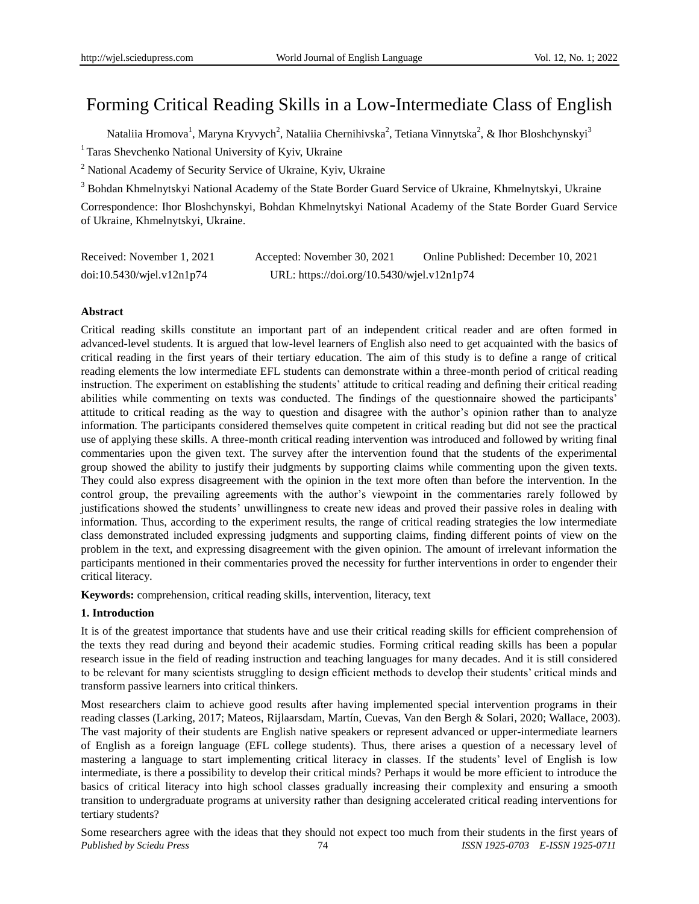# Forming Critical Reading Skills in a Low-Intermediate Class of English

Nataliia Hromova<sup>1</sup>, Maryna Kryvych<sup>2</sup>, Nataliia Chernihivska<sup>2</sup>, Tetiana Vinnytska<sup>2</sup>, & Ihor Bloshchynskyi<sup>3</sup>

<sup>1</sup> Taras Shevchenko National University of Kyiv, Ukraine

<sup>2</sup> National Academy of Security Service of Ukraine, Kyiv, Ukraine

<sup>3</sup> Bohdan Khmelnytskyi National Academy of the State Border Guard Service of Ukraine, Khmelnytskyi, Ukraine

Correspondence: Ihor Bloshchynskyi, Bohdan Khmelnytskyi National Academy of the State Border Guard Service of Ukraine, Khmelnytskyi, Ukraine.

| Received: November 1, 2021 | Accepted: November 30, 2021                | Online Published: December 10, 2021 |
|----------------------------|--------------------------------------------|-------------------------------------|
| doi:10.5430/wjel.v12n1p74  | URL: https://doi.org/10.5430/wjel.v12n1p74 |                                     |

# **Abstract**

Critical reading skills constitute an important part of an independent critical reader and are often formed in advanced-level students. It is argued that low-level learners of English also need to get acquainted with the basics of critical reading in the first years of their tertiary education. The aim of this study is to define a range of critical reading elements the low intermediate EFL students can demonstrate within a three-month period of critical reading instruction. The experiment on establishing the students' attitude to critical reading and defining their critical reading abilities while commenting on texts was conducted. The findings of the questionnaire showed the participants" attitude to critical reading as the way to question and disagree with the author"s opinion rather than to analyze information. The participants considered themselves quite competent in critical reading but did not see the practical use of applying these skills. A three-month critical reading intervention was introduced and followed by writing final commentaries upon the given text. The survey after the intervention found that the students of the experimental group showed the ability to justify their judgments by supporting claims while commenting upon the given texts. They could also express disagreement with the opinion in the text more often than before the intervention. In the control group, the prevailing agreements with the author"s viewpoint in the commentaries rarely followed by justifications showed the students" unwillingness to create new ideas and proved their passive roles in dealing with information. Thus, according to the experiment results, the range of critical reading strategies the low intermediate class demonstrated included expressing judgments and supporting claims, finding different points of view on the problem in the text, and expressing disagreement with the given opinion. The amount of irrelevant information the participants mentioned in their commentaries proved the necessity for further interventions in order to engender their critical literacy.

**Keywords:** comprehension, critical reading skills, intervention, literacy, text

# **1. Introduction**

It is of the greatest importance that students have and use their critical reading skills for efficient comprehension of the texts they read during and beyond their academic studies. Forming critical reading skills has been a popular research issue in the field of reading instruction and teaching languages for many decades. And it is still considered to be relevant for many scientists struggling to design efficient methods to develop their students" critical minds and transform passive learners into critical thinkers.

Most researchers claim to achieve good results after having implemented special intervention programs in their reading classes (Larking, 2017; Mateos, Rijlaarsdam, Martín, Cuevas, Van den Bergh & Solari, 2020; Wallace, 2003). The vast majority of their students are English native speakers or represent advanced or upper-intermediate learners of English as a foreign language (EFL college students). Thus, there arises a question of a necessary level of mastering a language to start implementing critical literacy in classes. If the students" level of English is low intermediate, is there a possibility to develop their critical minds? Perhaps it would be more efficient to introduce the basics of critical literacy into high school classes gradually increasing their complexity and ensuring a smooth transition to undergraduate programs at university rather than designing accelerated critical reading interventions for tertiary students?

*Published by Sciedu Press* 74 *ISSN 1925-0703 E-ISSN 1925-0711* Some researchers agree with the ideas that they should not expect too much from their students in the first years of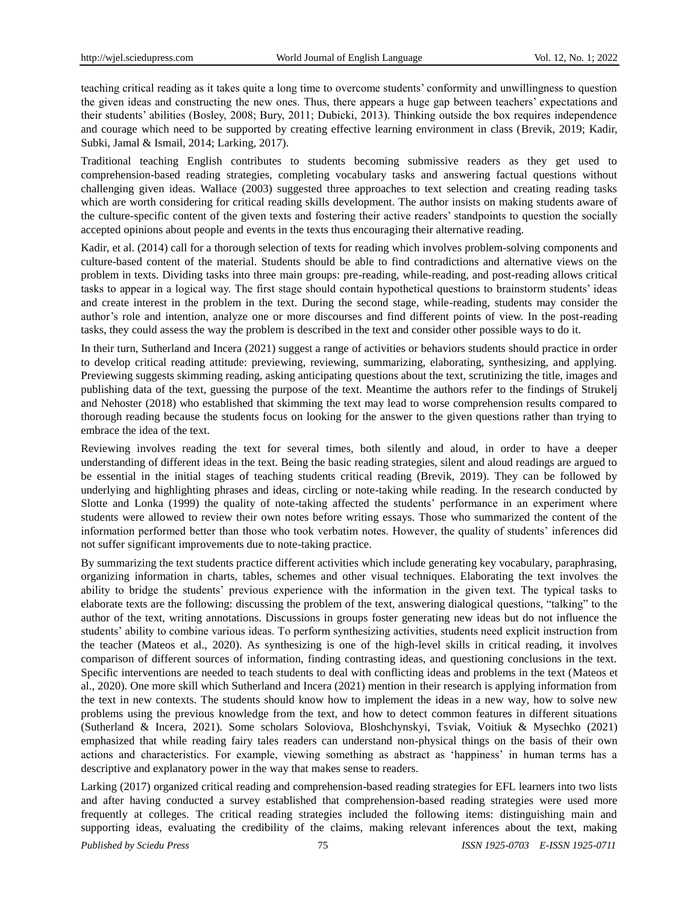teaching critical reading as it takes quite a long time to overcome students" conformity and unwillingness to question the given ideas and constructing the new ones. Thus, there appears a huge gap between teachers" expectations and their students" abilities (Bosley, 2008; Bury, 2011; Dubicki, 2013). Thinking outside the box requires independence and courage which need to be supported by creating effective learning environment in class (Brevik, 2019; Kadir, Subki, Jamal & Ismail, 2014; Larking, 2017).

Traditional teaching English contributes to students becoming submissive readers as they get used to comprehension-based reading strategies, completing vocabulary tasks and answering factual questions without challenging given ideas. Wallace (2003) suggested three approaches to text selection and creating reading tasks which are worth considering for critical reading skills development. The author insists on making students aware of the culture-specific content of the given texts and fostering their active readers" standpoints to question the socially accepted opinions about people and events in the texts thus encouraging their alternative reading.

Kadir, et al. (2014) call for a thorough selection of texts for reading which involves problem-solving components and culture-based content of the material. Students should be able to find contradictions and alternative views on the problem in texts. Dividing tasks into three main groups: pre-reading, while-reading, and post-reading allows critical tasks to appear in a logical way. The first stage should contain hypothetical questions to brainstorm students" ideas and create interest in the problem in the text. During the second stage, while-reading, students may consider the author"s role and intention, analyze one or more discourses and find different points of view. In the post-reading tasks, they could assess the way the problem is described in the text and consider other possible ways to do it.

In their turn, Sutherland and Incera (2021) suggest a range of activities or behaviors students should practice in order to develop critical reading attitude: previewing, reviewing, summarizing, elaborating, synthesizing, and applying. Previewing suggests skimming reading, asking anticipating questions about the text, scrutinizing the title, images and publishing data of the text, guessing the purpose of the text. Meantime the authors refer to the findings of Strukelj and Nehoster (2018) who established that skimming the text may lead to worse comprehension results compared to thorough reading because the students focus on looking for the answer to the given questions rather than trying to embrace the idea of the text.

Reviewing involves reading the text for several times, both silently and aloud, in order to have a deeper understanding of different ideas in the text. Being the basic reading strategies, silent and aloud readings are argued to be essential in the initial stages of teaching students critical reading (Brevik, 2019). They can be followed by underlying and highlighting phrases and ideas, circling or note-taking while reading. In the research conducted by Slotte and Lonka (1999) the quality of note-taking affected the students" performance in an experiment where students were allowed to review their own notes before writing essays. Those who summarized the content of the information performed better than those who took verbatim notes. However, the quality of students" inferences did not suffer significant improvements due to note-taking practice.

By summarizing the text students practice different activities which include generating key vocabulary, paraphrasing, organizing information in charts, tables, schemes and other visual techniques. Elaborating the text involves the ability to bridge the students" previous experience with the information in the given text. The typical tasks to elaborate texts are the following: discussing the problem of the text, answering dialogical questions, "talking" to the author of the text, writing annotations. Discussions in groups foster generating new ideas but do not influence the students" ability to combine various ideas. To perform synthesizing activities, students need explicit instruction from the teacher (Mateos et al., 2020). As synthesizing is one of the high-level skills in critical reading, it involves comparison of different sources of information, finding contrasting ideas, and questioning conclusions in the text. Specific interventions are needed to teach students to deal with conflicting ideas and problems in the text (Mateos et al., 2020). One more skill which Sutherland and Incera (2021) mention in their research is applying information from the text in new contexts. The students should know how to implement the ideas in a new way, how to solve new problems using the previous knowledge from the text, and how to detect common features in different situations (Sutherland & Incera, 2021). Some scholars Soloviova, Bloshchynskyi, Tsviak, Voitiuk & Mysechko (2021) emphasized that while reading fairy tales readers can understand non-physical things on the basis of their own actions and characteristics. For example, viewing something as abstract as "happiness" in human terms has a descriptive and explanatory power in the way that makes sense to readers.

Larking (2017) organized critical reading and comprehension-based reading strategies for EFL learners into two lists and after having conducted a survey established that comprehension-based reading strategies were used more frequently at colleges. The critical reading strategies included the following items: distinguishing main and supporting ideas, evaluating the credibility of the claims, making relevant inferences about the text, making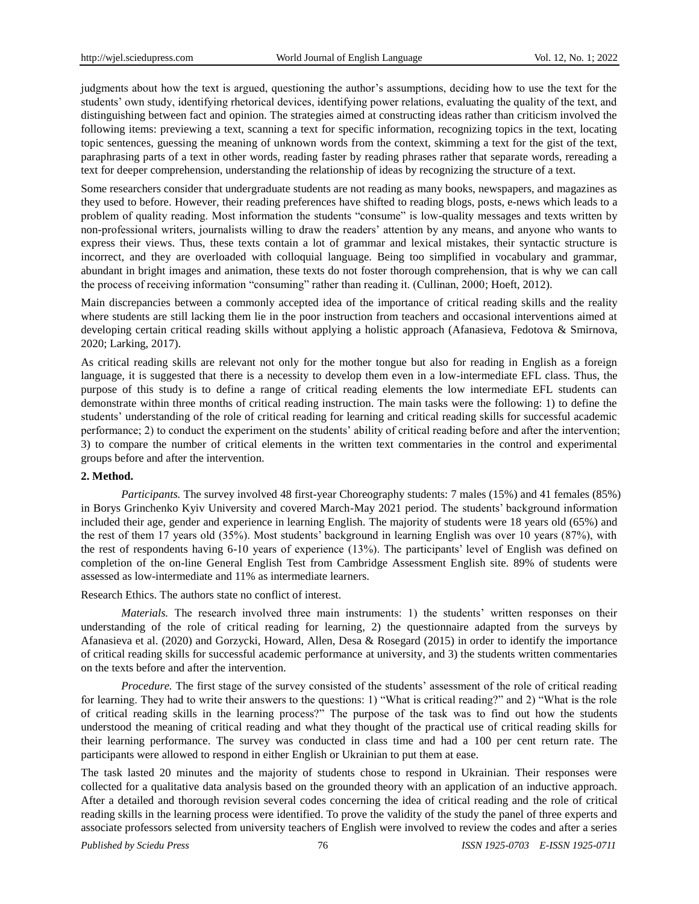judgments about how the text is argued, questioning the author"s assumptions, deciding how to use the text for the students" own study, identifying rhetorical devices, identifying power relations, evaluating the quality of the text, and distinguishing between fact and opinion. The strategies aimed at constructing ideas rather than criticism involved the following items: previewing a text, scanning a text for specific information, recognizing topics in the text, locating topic sentences, guessing the meaning of unknown words from the context, skimming a text for the gist of the text, paraphrasing parts of a text in other words, reading faster by reading phrases rather that separate words, rereading a text for deeper comprehension, understanding the relationship of ideas by recognizing the structure of a text.

Some researchers consider that undergraduate students are not reading as many books, newspapers, and magazines as they used to before. However, their reading preferences have shifted to reading blogs, posts, e-news which leads to a problem of quality reading. Most information the students "consume" is low-quality messages and texts written by non-professional writers, journalists willing to draw the readers" attention by any means, and anyone who wants to express their views. Thus, these texts contain a lot of grammar and lexical mistakes, their syntactic structure is incorrect, and they are overloaded with colloquial language. Being too simplified in vocabulary and grammar, abundant in bright images and animation, these texts do not foster thorough comprehension, that is why we can call the process of receiving information "consuming" rather than reading it. (Cullinan, 2000; Hoeft, 2012).

Main discrepancies between a commonly accepted idea of the importance of critical reading skills and the reality where students are still lacking them lie in the poor instruction from teachers and occasional interventions aimed at developing certain critical reading skills without applying a holistic approach (Afanasieva, Fedotova & Smirnova, 2020; Larking, 2017).

As critical reading skills are relevant not only for the mother tongue but also for reading in English as a foreign language, it is suggested that there is a necessity to develop them even in a low-intermediate EFL class. Thus, the purpose of this study is to define a range of critical reading elements the low intermediate EFL students can demonstrate within three months of critical reading instruction. The main tasks were the following: 1) to define the students" understanding of the role of critical reading for learning and critical reading skills for successful academic performance; 2) to conduct the experiment on the students' ability of critical reading before and after the intervention; 3) to compare the number of critical elements in the written text commentaries in the control and experimental groups before and after the intervention.

## **2. Method.**

*Participants.* The survey involved 48 first-year Choreography students: 7 males (15%) and 41 females (85%) in Borys Grinchenko Kyiv University and covered March-May 2021 period. The students" background information included their age, gender and experience in learning English. The majority of students were 18 years old (65%) and the rest of them 17 years old (35%). Most students" background in learning English was over 10 years (87%), with the rest of respondents having 6-10 years of experience (13%). The participants" level of English was defined on completion of the on-line General English Test from Cambridge Assessment English site. 89% of students were assessed as low-intermediate and 11% as intermediate learners.

Research Ethics. The authors state no conflict of interest.

*Materials.* The research involved three main instruments: 1) the students' written responses on their understanding of the role of critical reading for learning, 2) the questionnaire adapted from the surveys by Afanasieva et al. (2020) and Gorzycki, Howard, Allen, Desa & Rosegard (2015) in order to identify the importance of critical reading skills for successful academic performance at university, and 3) the students written commentaries on the texts before and after the intervention.

*Procedure.* The first stage of the survey consisted of the students' assessment of the role of critical reading for learning. They had to write their answers to the questions: 1) "What is critical reading?" and 2) "What is the role of critical reading skills in the learning process?" The purpose of the task was to find out how the students understood the meaning of critical reading and what they thought of the practical use of critical reading skills for their learning performance. The survey was conducted in class time and had a 100 per cent return rate. The participants were allowed to respond in either English or Ukrainian to put them at ease.

The task lasted 20 minutes and the majority of students chose to respond in Ukrainian. Their responses were collected for a qualitative data analysis based on the grounded theory with an application of an inductive approach. After a detailed and thorough revision several codes concerning the idea of critical reading and the role of critical reading skills in the learning process were identified. To prove the validity of the study the panel of three experts and associate professors selected from university teachers of English were involved to review the codes and after a series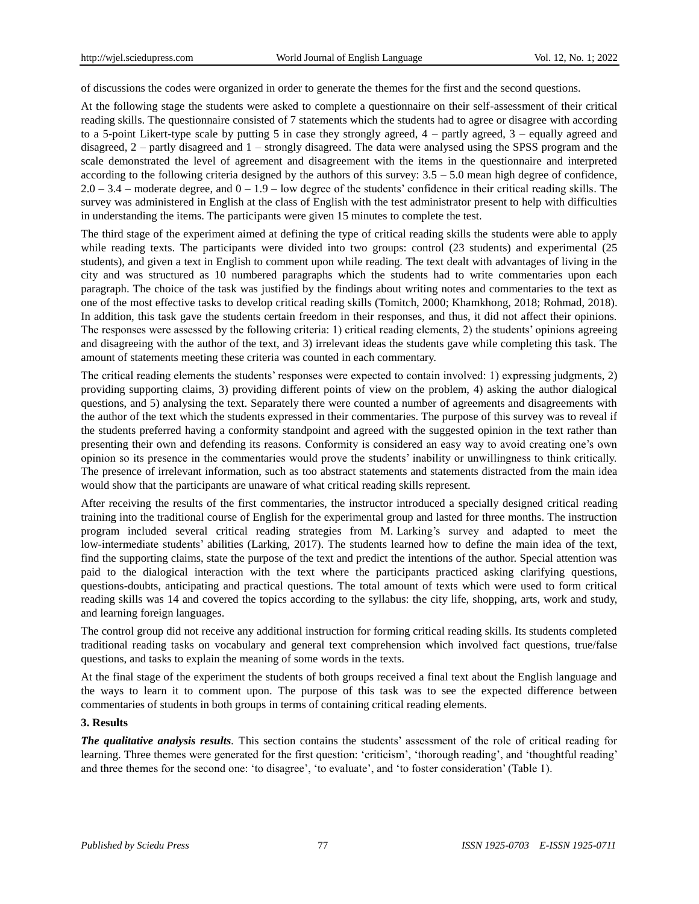of discussions the codes were organized in order to generate the themes for the first and the second questions.

At the following stage the students were asked to complete a questionnaire on their self-assessment of their critical reading skills. The questionnaire consisted of 7 statements which the students had to agree or disagree with according to a 5-point Likert-type scale by putting 5 in case they strongly agreed,  $4$  – partly agreed,  $3$  – equally agreed and disagreed, 2 – partly disagreed and 1 – strongly disagreed. The data were analysed using the SPSS program and the scale demonstrated the level of agreement and disagreement with the items in the questionnaire and interpreted according to the following criteria designed by the authors of this survey: 3.5 – 5.0 mean high degree of confidence,  $2.0 - 3.4$  – moderate degree, and  $0 - 1.9$  – low degree of the students' confidence in their critical reading skills. The survey was administered in English at the class of English with the test administrator present to help with difficulties in understanding the items. The participants were given 15 minutes to complete the test.

The third stage of the experiment aimed at defining the type of critical reading skills the students were able to apply while reading texts. The participants were divided into two groups: control (23 students) and experimental (25 students), and given a text in English to comment upon while reading. The text dealt with advantages of living in the city and was structured as 10 numbered paragraphs which the students had to write commentaries upon each paragraph. The choice of the task was justified by the findings about writing notes and commentaries to the text as one of the most effective tasks to develop critical reading skills (Tomitch, 2000; Khamkhong, 2018; Rohmad, 2018). In addition, this task gave the students certain freedom in their responses, and thus, it did not affect their opinions. The responses were assessed by the following criteria: 1) critical reading elements, 2) the students' opinions agreeing and disagreeing with the author of the text, and 3) irrelevant ideas the students gave while completing this task. The amount of statements meeting these criteria was counted in each commentary.

The critical reading elements the students' responses were expected to contain involved: 1) expressing judgments, 2) providing supporting claims, 3) providing different points of view on the problem, 4) asking the author dialogical questions, and 5) analysing the text. Separately there were counted a number of agreements and disagreements with the author of the text which the students expressed in their commentaries. The purpose of this survey was to reveal if the students preferred having a conformity standpoint and agreed with the suggested opinion in the text rather than presenting their own and defending its reasons. Conformity is considered an easy way to avoid creating one"s own opinion so its presence in the commentaries would prove the students" inability or unwillingness to think critically. The presence of irrelevant information, such as too abstract statements and statements distracted from the main idea would show that the participants are unaware of what critical reading skills represent.

After receiving the results of the first commentaries, the instructor introduced a specially designed critical reading training into the traditional course of English for the experimental group and lasted for three months. The instruction program included several critical reading strategies from M. Larking"s survey and adapted to meet the low-intermediate students' abilities (Larking, 2017). The students learned how to define the main idea of the text, find the supporting claims, state the purpose of the text and predict the intentions of the author. Special attention was paid to the dialogical interaction with the text where the participants practiced asking clarifying questions, questions-doubts, anticipating and practical questions. The total amount of texts which were used to form critical reading skills was 14 and covered the topics according to the syllabus: the city life, shopping, arts, work and study, and learning foreign languages.

The control group did not receive any additional instruction for forming critical reading skills. Its students completed traditional reading tasks on vocabulary and general text comprehension which involved fact questions, true/false questions, and tasks to explain the meaning of some words in the texts.

At the final stage of the experiment the students of both groups received a final text about the English language and the ways to learn it to comment upon. The purpose of this task was to see the expected difference between commentaries of students in both groups in terms of containing critical reading elements.

## **3. Results**

*The qualitative analysis results.* This section contains the students" assessment of the role of critical reading for learning. Three themes were generated for the first question: "criticism", "thorough reading", and "thoughtful reading" and three themes for the second one: 'to disagree', 'to evaluate', and 'to foster consideration' (Table 1).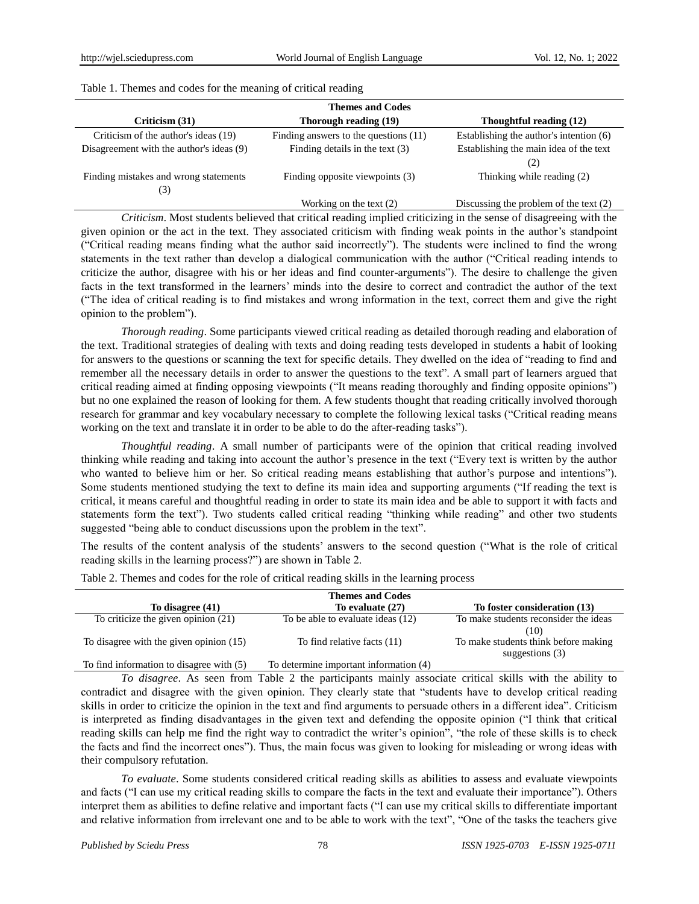| <b>Themes and Codes</b>                  |                                       |                                          |  |  |  |  |  |
|------------------------------------------|---------------------------------------|------------------------------------------|--|--|--|--|--|
| Criticism (31)                           | Thorough reading (19)                 | Thoughtful reading (12)                  |  |  |  |  |  |
| Criticism of the author's ideas (19)     | Finding answers to the questions (11) | Establishing the author's intention (6)  |  |  |  |  |  |
| Disagreement with the author's ideas (9) | Finding details in the text $(3)$     | Establishing the main idea of the text   |  |  |  |  |  |
|                                          |                                       | (2)                                      |  |  |  |  |  |
| Finding mistakes and wrong statements    | Finding opposite viewpoints (3)       | Thinking while reading (2)               |  |  |  |  |  |
| (3)                                      |                                       |                                          |  |  |  |  |  |
|                                          | Working on the text $(2)$             | Discussing the problem of the text $(2)$ |  |  |  |  |  |

## Table 1. Themes and codes for the meaning of critical reading

*Criticism*. Most students believed that critical reading implied criticizing in the sense of disagreeing with the given opinion or the act in the text. They associated criticism with finding weak points in the author"s standpoint ("Critical reading means finding what the author said incorrectly"). The students were inclined to find the wrong statements in the text rather than develop a dialogical communication with the author ("Critical reading intends to criticize the author, disagree with his or her ideas and find counter-arguments"). The desire to challenge the given facts in the text transformed in the learners" minds into the desire to correct and contradict the author of the text ("The idea of critical reading is to find mistakes and wrong information in the text, correct them and give the right opinion to the problem").

*Thorough reading*. Some participants viewed critical reading as detailed thorough reading and elaboration of the text. Traditional strategies of dealing with texts and doing reading tests developed in students a habit of looking for answers to the questions or scanning the text for specific details. They dwelled on the idea of "reading to find and remember all the necessary details in order to answer the questions to the text". A small part of learners argued that critical reading aimed at finding opposing viewpoints ("It means reading thoroughly and finding opposite opinions") but no one explained the reason of looking for them. A few students thought that reading critically involved thorough research for grammar and key vocabulary necessary to complete the following lexical tasks ("Critical reading means working on the text and translate it in order to be able to do the after-reading tasks").

*Thoughtful reading*. A small number of participants were of the opinion that critical reading involved thinking while reading and taking into account the author"s presence in the text ("Every text is written by the author who wanted to believe him or her. So critical reading means establishing that author's purpose and intentions"). Some students mentioned studying the text to define its main idea and supporting arguments ("If reading the text is critical, it means careful and thoughtful reading in order to state its main idea and be able to support it with facts and statements form the text"). Two students called critical reading "thinking while reading" and other two students suggested "being able to conduct discussions upon the problem in the text".

The results of the content analysis of the students" answers to the second question ("What is the role of critical reading skills in the learning process?") are shown in Table 2.

|                                          | <b>Themes and Codes</b>                |                                                           |
|------------------------------------------|----------------------------------------|-----------------------------------------------------------|
| To disagree (41)                         | To evaluate (27)                       | To foster consideration (13)                              |
| To criticize the given opinion (21)      | To be able to evaluate ideas (12)      | To make students reconsider the ideas                     |
|                                          |                                        | (10)                                                      |
| To disagree with the given opinion (15)  | To find relative facts (11)            | To make students think before making<br>suggestions $(3)$ |
| To find information to disagree with (5) | To determine important information (4) |                                                           |

Table 2. Themes and codes for the role of critical reading skills in the learning process

*To disagree*. As seen from Table 2 the participants mainly associate critical skills with the ability to contradict and disagree with the given opinion. They clearly state that "students have to develop critical reading skills in order to criticize the opinion in the text and find arguments to persuade others in a different idea". Criticism is interpreted as finding disadvantages in the given text and defending the opposite opinion ("I think that critical reading skills can help me find the right way to contradict the writer"s opinion", "the role of these skills is to check the facts and find the incorrect ones"). Thus, the main focus was given to looking for misleading or wrong ideas with their compulsory refutation.

*To evaluate*. Some students considered critical reading skills as abilities to assess and evaluate viewpoints and facts ("I can use my critical reading skills to compare the facts in the text and evaluate their importance"). Others interpret them as abilities to define relative and important facts ("I can use my critical skills to differentiate important and relative information from irrelevant one and to be able to work with the text", "One of the tasks the teachers give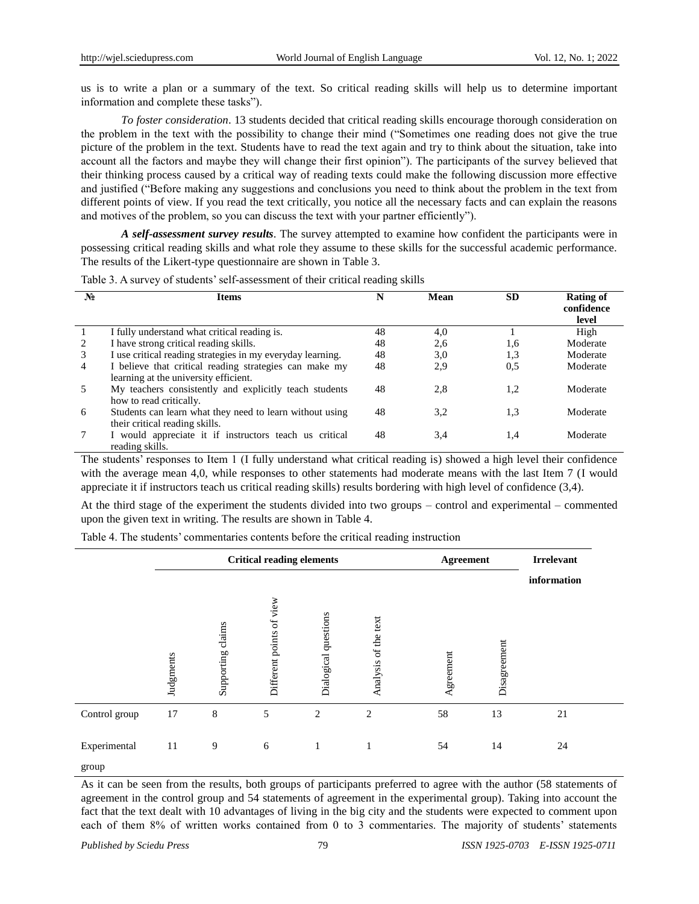us is to write a plan or a summary of the text. So critical reading skills will help us to determine important information and complete these tasks").

*To foster consideration*. 13 students decided that critical reading skills encourage thorough consideration on the problem in the text with the possibility to change their mind ("Sometimes one reading does not give the true picture of the problem in the text. Students have to read the text again and try to think about the situation, take into account all the factors and maybe they will change their first opinion"). The participants of the survey believed that their thinking process caused by a critical way of reading texts could make the following discussion more effective and justified ("Before making any suggestions and conclusions you need to think about the problem in the text from different points of view. If you read the text critically, you notice all the necessary facts and can explain the reasons and motives of the problem, so you can discuss the text with your partner efficiently").

*A self-assessment survey results*. The survey attempted to examine how confident the participants were in possessing critical reading skills and what role they assume to these skills for the successful academic performance. The results of the Likert-type questionnaire are shown in Table 3.

| $N_2$ | <b>Items</b>                                                                                    | N  | Mean | <b>SD</b> | <b>Rating of</b><br>confidence<br>level |
|-------|-------------------------------------------------------------------------------------------------|----|------|-----------|-----------------------------------------|
|       | I fully understand what critical reading is.                                                    | 48 | 4,0  |           | High                                    |
| 2     | I have strong critical reading skills.                                                          | 48 | 2,6  | 1,6       | Moderate                                |
| 3     | I use critical reading strategies in my everyday learning.                                      | 48 | 3,0  | 1,3       | Moderate                                |
| 4     | I believe that critical reading strategies can make my<br>learning at the university efficient. | 48 | 2.9  | 0.5       | Moderate                                |
| .5    | My teachers consistently and explicitly teach students<br>how to read critically.               | 48 | 2,8  | 1,2       | Moderate                                |
| 6     | Students can learn what they need to learn without using<br>their critical reading skills.      | 48 | 3,2  | 1,3       | Moderate                                |
|       | I would appreciate it if instructors teach us critical<br>reading skills.                       | 48 | 3,4  | 1,4       | Moderate                                |

Table 3. A survey of students' self-assessment of their critical reading skills

The students" responses to Item 1 (I fully understand what critical reading is) showed a high level their confidence with the average mean 4,0, while responses to other statements had moderate means with the last Item 7 (I would appreciate it if instructors teach us critical reading skills) results bordering with high level of confidence (3,4).

At the third stage of the experiment the students divided into two groups – control and experimental – commented upon the given text in writing. The results are shown in Table 4.

Table 4. The students' commentaries contents before the critical reading instruction

|                       | <b>Critical reading elements</b> |                   |                          |                      |                      | <b>Agreement</b> |              | <b>Irrelevant</b> |  |
|-----------------------|----------------------------------|-------------------|--------------------------|----------------------|----------------------|------------------|--------------|-------------------|--|
|                       | Judgments                        | Supporting claims | Different points of view | Dialogical questions | Analysis of the text | Agreement        | Disagreement | information       |  |
| Control group         | 17                               | 8                 | 5                        | 2                    | $\overline{2}$       | 58               | 13           | 21                |  |
| Experimental<br>group | 11                               | 9                 | 6                        | $\mathbf{1}$         | 1                    | 54               | 14           | 24                |  |

As it can be seen from the results, both groups of participants preferred to agree with the author (58 statements of agreement in the control group and 54 statements of agreement in the experimental group). Taking into account the fact that the text dealt with 10 advantages of living in the big city and the students were expected to comment upon each of them 8% of written works contained from 0 to 3 commentaries. The majority of students' statements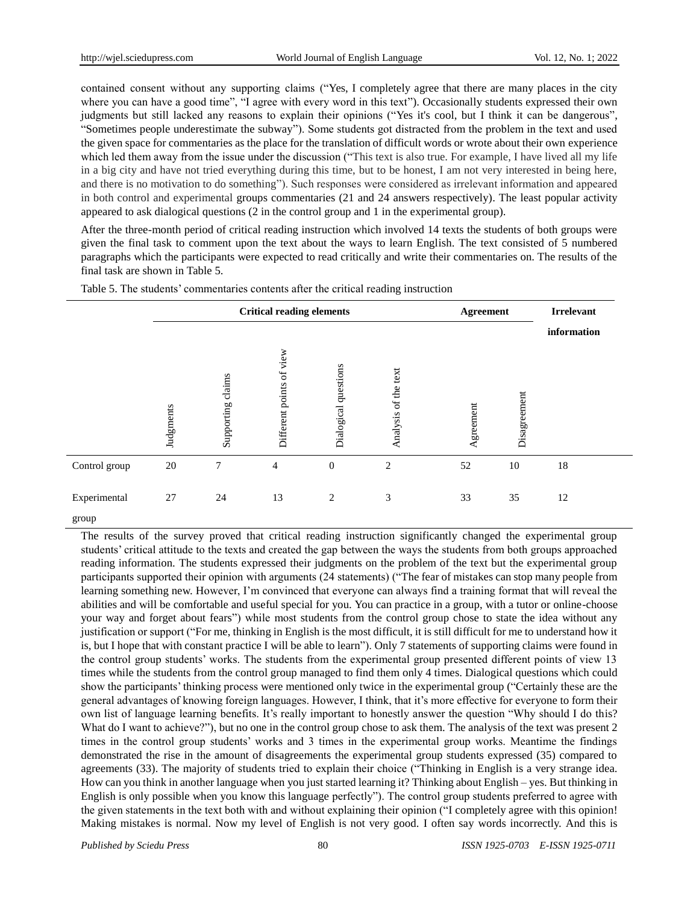contained consent without any supporting claims ("Yes, I completely agree that there are many places in the city where you can have a good time", "I agree with every word in this text"). Occasionally students expressed their own judgments but still lacked any reasons to explain their opinions ("Yes it's cool, but I think it can be dangerous", "Sometimes people underestimate the subway"). Some students got distracted from the problem in the text and used the given space for commentaries as the place for the translation of difficult words or wrote about their own experience which led them away from the issue under the discussion ("This text is also true. For example, I have lived all my life in a big city and have not tried everything during this time, but to be honest, I am not very interested in being here, and there is no motivation to do something"). Such responses were considered as irrelevant information and appeared in both control and experimental groups commentaries (21 and 24 answers respectively). The least popular activity appeared to ask dialogical questions (2 in the control group and 1 in the experimental group).

After the three-month period of critical reading instruction which involved 14 texts the students of both groups were given the final task to comment upon the text about the ways to learn English. The text consisted of 5 numbered paragraphs which the participants were expected to read critically and write their commentaries on. The results of the final task are shown in Table 5.

|                       | <b>Critical reading elements</b> |                   |                          |                      |                      | <b>Agreement</b> |              | <b>Irrelevant</b> |  |
|-----------------------|----------------------------------|-------------------|--------------------------|----------------------|----------------------|------------------|--------------|-------------------|--|
|                       | Judgments                        | Supporting claims | Different points of view | Dialogical questions | Analysis of the text | Agreement        | Disagreement | information       |  |
| Control group         | $20\,$                           | $\tau$            | 4                        | $\mathbf{0}$         | $\overline{c}$       | 52               | 10           | $18\,$            |  |
| Experimental<br>group | 27                               | 24                | 13                       | 2                    | 3                    | 33               | 35           | 12                |  |

Table 5. The students' commentaries contents after the critical reading instruction

The results of the survey proved that critical reading instruction significantly changed the experimental group students' critical attitude to the texts and created the gap between the ways the students from both groups approached reading information. The students expressed their judgments on the problem of the text but the experimental group participants supported their opinion with arguments (24 statements) ("The fear of mistakes can stop many people from learning something new. However, I"m convinced that everyone can always find a training format that will reveal the abilities and will be comfortable and useful special for you. You can practice in a group, with a tutor or online-choose your way and forget about fears") while most students from the control group chose to state the idea without any justification or support ("For me, thinking in English is the most difficult, it is still difficult for me to understand how it is, but I hope that with constant practice I will be able to learn"). Only 7 statements of supporting claims were found in the control group students" works. The students from the experimental group presented different points of view 13 times while the students from the control group managed to find them only 4 times. Dialogical questions which could show the participants" thinking process were mentioned only twice in the experimental group ("Certainly these are the general advantages of knowing foreign languages. However, I think, that it"s more effective for everyone to form their own list of language learning benefits. It's really important to honestly answer the question "Why should I do this? What do I want to achieve?"), but no one in the control group chose to ask them. The analysis of the text was present 2 times in the control group students" works and 3 times in the experimental group works. Meantime the findings demonstrated the rise in the amount of disagreements the experimental group students expressed (35) compared to agreements (33). The majority of students tried to explain their choice ("Thinking in English is a very strange idea. How can you think in another language when you just started learning it? Thinking about English – yes. But thinking in English is only possible when you know this language perfectly"). The control group students preferred to agree with the given statements in the text both with and without explaining their opinion ("I completely agree with this opinion! Making mistakes is normal. Now my level of English is not very good. I often say words incorrectly. And this is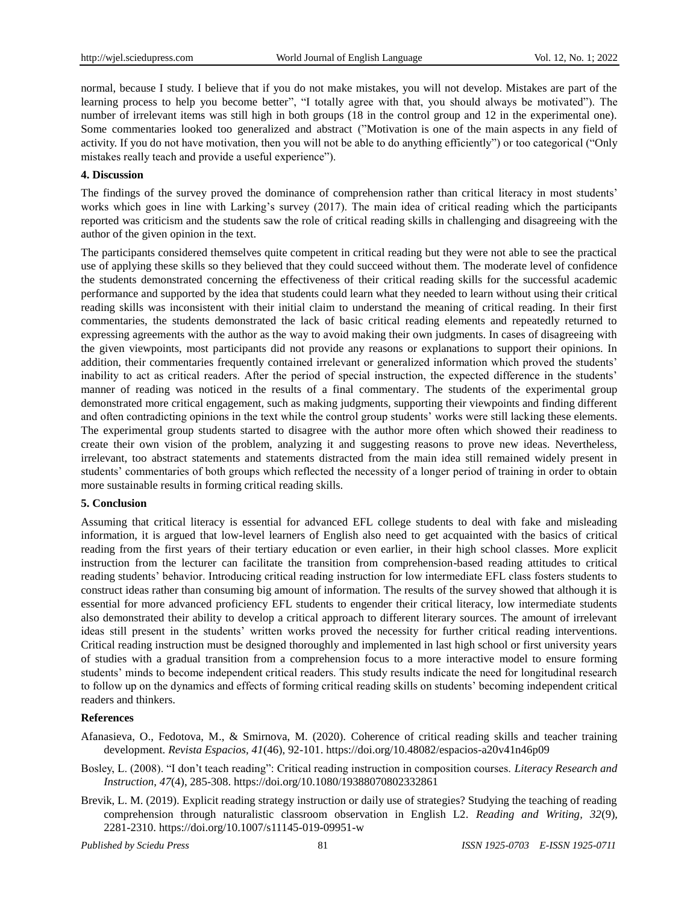normal, because I study. I believe that if you do not make mistakes, you will not develop. Mistakes are part of the learning process to help you become better", "I totally agree with that, you should always be motivated"). The number of irrelevant items was still high in both groups (18 in the control group and 12 in the experimental one). Some commentaries looked too generalized and abstract ("Motivation is one of the main aspects in any field of activity. If you do not have motivation, then you will not be able to do anything efficiently") or too categorical ("Only mistakes really teach and provide a useful experience").

## **4. Discussion**

The findings of the survey proved the dominance of comprehension rather than critical literacy in most students' works which goes in line with Larking's survey (2017). The main idea of critical reading which the participants reported was criticism and the students saw the role of critical reading skills in challenging and disagreeing with the author of the given opinion in the text.

The participants considered themselves quite competent in critical reading but they were not able to see the practical use of applying these skills so they believed that they could succeed without them. The moderate level of confidence the students demonstrated concerning the effectiveness of their critical reading skills for the successful academic performance and supported by the idea that students could learn what they needed to learn without using their critical reading skills was inconsistent with their initial claim to understand the meaning of critical reading. In their first commentaries, the students demonstrated the lack of basic critical reading elements and repeatedly returned to expressing agreements with the author as the way to avoid making their own judgments. In cases of disagreeing with the given viewpoints, most participants did not provide any reasons or explanations to support their opinions. In addition, their commentaries frequently contained irrelevant or generalized information which proved the students" inability to act as critical readers. After the period of special instruction, the expected difference in the students" manner of reading was noticed in the results of a final commentary. The students of the experimental group demonstrated more critical engagement, such as making judgments, supporting their viewpoints and finding different and often contradicting opinions in the text while the control group students' works were still lacking these elements. The experimental group students started to disagree with the author more often which showed their readiness to create their own vision of the problem, analyzing it and suggesting reasons to prove new ideas. Nevertheless, irrelevant, too abstract statements and statements distracted from the main idea still remained widely present in students" commentaries of both groups which reflected the necessity of a longer period of training in order to obtain more sustainable results in forming critical reading skills.

## **5. Conclusion**

Assuming that critical literacy is essential for advanced EFL college students to deal with fake and misleading information, it is argued that low-level learners of English also need to get acquainted with the basics of critical reading from the first years of their tertiary education or even earlier, in their high school classes. More explicit instruction from the lecturer can facilitate the transition from comprehension-based reading attitudes to critical reading students" behavior. Introducing critical reading instruction for low intermediate EFL class fosters students to construct ideas rather than consuming big amount of information. The results of the survey showed that although it is essential for more advanced proficiency EFL students to engender their critical literacy, low intermediate students also demonstrated their ability to develop a critical approach to different literary sources. The amount of irrelevant ideas still present in the students' written works proved the necessity for further critical reading interventions. Critical reading instruction must be designed thoroughly and implemented in last high school or first university years of studies with a gradual transition from a comprehension focus to a more interactive model to ensure forming students" minds to become independent critical readers. This study results indicate the need for longitudinal research to follow up on the dynamics and effects of forming critical reading skills on students" becoming independent critical readers and thinkers.

# **References**

- Afanasieva, O., Fedotova, M., & Smirnova, M. (2020). Coherence of critical reading skills and teacher training development. *Revista Espacios, 41*(46), 92-101. https://doi.org/10.48082/espacios-a20v41n46p09
- Bosley, L. (2008). "I don"t teach reading": Critical reading instruction in composition courses. *Literacy Research and Instruction*, *47*(4), 285-308. https://doi.org/10.1080/19388070802332861
- Brevik, L. M. (2019). Explicit reading strategy instruction or daily use of strategies? Studying the teaching of reading comprehension through naturalistic classroom observation in English L2. *Reading and Writing, 32*(9)*,* 2281-2310. https://doi.org/10.1007/s11145-019-09951-w